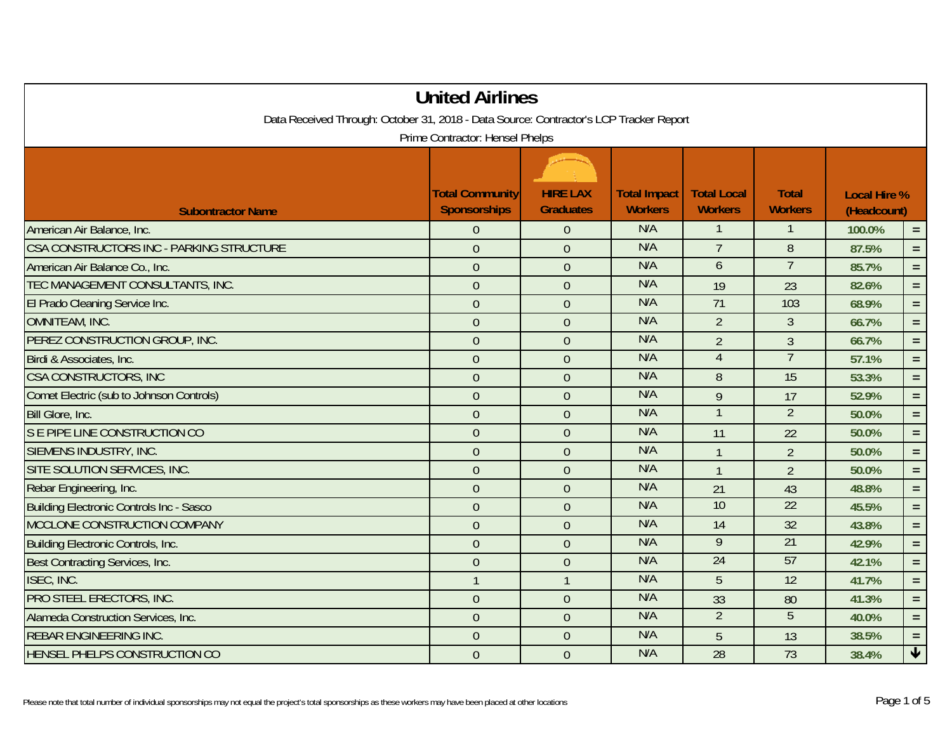| <b>United Airlines</b><br>Data Received Through: October 31, 2018 - Data Source: Contractor's LCP Tracker Report<br>Prime Contractor: Hensel Phelps |                  |                |     |                 |                 |        |                      |  |
|-----------------------------------------------------------------------------------------------------------------------------------------------------|------------------|----------------|-----|-----------------|-----------------|--------|----------------------|--|
|                                                                                                                                                     |                  |                |     |                 |                 |        |                      |  |
| American Air Balance, Inc.                                                                                                                          | $\overline{0}$   | $\overline{0}$ | N/A | $\mathbf{1}$    | $\mathbf{1}$    | 100.0% | $\equiv$             |  |
| CSA CONSTRUCTORS INC - PARKING STRUCTURE                                                                                                            | $\mathbf{0}$     | $\overline{0}$ | N/A | $\overline{7}$  | $8\phantom{.}$  | 87.5%  | $=$ $\,$             |  |
| American Air Balance Co., Inc.                                                                                                                      | $\overline{0}$   | $\overline{0}$ | N/A | $\overline{6}$  | $\overline{7}$  | 85.7%  | $\equiv$             |  |
| TEC MANAGEMENT CONSULTANTS, INC.                                                                                                                    | $\boldsymbol{0}$ | $\overline{0}$ | N/A | 19              | 23              | 82.6%  | $\equiv$             |  |
| El Prado Cleaning Service Inc.                                                                                                                      | $\mathbf{0}$     | $\overline{0}$ | N/A | 71              | 103             | 68.9%  | $=$ $\,$             |  |
| OMNITEAM, INC.                                                                                                                                      | $\overline{0}$   | $\Omega$       | N/A | $\overline{2}$  | $\mathfrak{Z}$  | 66.7%  | $=$ .                |  |
| PEREZ CONSTRUCTION GROUP, INC.                                                                                                                      | $\overline{0}$   | $\overline{0}$ | N/A | $\overline{2}$  | $\mathfrak{Z}$  | 66.7%  | $=$ $\,$             |  |
| Birdi & Associates, Inc.                                                                                                                            | $\overline{0}$   | $\overline{0}$ | N/A | $\overline{4}$  | $\overline{7}$  | 57.1%  | $=$ $\,$             |  |
| CSA CONSTRUCTORS, INC                                                                                                                               | $\mathbf{0}$     | $\overline{0}$ | N/A | 8               | 15              | 53.3%  | $=$ .                |  |
| Comet Electric (sub to Johnson Controls)                                                                                                            | $\overline{0}$   | $\overline{0}$ | N/A | $\overline{9}$  | 17              | 52.9%  | $=$                  |  |
| Bill Glore, Inc.                                                                                                                                    | $\overline{0}$   | $\overline{0}$ | N/A | $\overline{1}$  | $\overline{2}$  | 50.0%  | $\equiv$             |  |
| S E PIPE LINE CONSTRUCTION CO                                                                                                                       | $\overline{0}$   | $\overline{0}$ | N/A | 11              | 22              | 50.0%  | $=$ .                |  |
| SIEMENS INDUSTRY, INC.                                                                                                                              | $\mathbf{0}$     | $\overline{0}$ | N/A | $\mathbf{1}$    | $\overline{2}$  | 50.0%  | $\equiv$             |  |
| SITE SOLUTION SERVICES, INC.                                                                                                                        | $\overline{0}$   | $\overline{0}$ | N/A | $\overline{1}$  | $\overline{2}$  | 50.0%  | $\equiv$             |  |
| Rebar Engineering, Inc.                                                                                                                             | $\mathbf{0}$     | $\overline{0}$ | N/A | 21              | 43              | 48.8%  | $=$ $\,$             |  |
| Building Electronic Controls Inc - Sasco                                                                                                            | $\overline{0}$   | $\overline{0}$ | N/A | 10              | 22              | 45.5%  | $=$ $\,$             |  |
| MCCLONE CONSTRUCTION COMPANY                                                                                                                        | $\overline{0}$   | $\overline{0}$ | N/A | 14              | 32              | 43.8%  | $\equiv$             |  |
| <b>Building Electronic Controls, Inc.</b>                                                                                                           | $\overline{0}$   | $\overline{0}$ | N/A | $\overline{9}$  | 21              | 42.9%  | $=$ .                |  |
| Best Contracting Services, Inc.                                                                                                                     | $\overline{0}$   | $\overline{0}$ | N/A | $\overline{24}$ | 57              | 42.1%  | $\equiv$             |  |
| ISEC, INC.                                                                                                                                          | $\mathbf{1}$     | $\mathbf{1}$   | N/A | 5               | $\overline{12}$ | 41.7%  | $=$ .                |  |
| PRO STEEL ERECTORS, INC.                                                                                                                            | $\overline{0}$   | $\overline{0}$ | N/A | 33              | 80              | 41.3%  | $\equiv$             |  |
| Alameda Construction Services, Inc.                                                                                                                 | $\overline{0}$   | $\overline{0}$ | N/A | $\overline{2}$  | 5               | 40.0%  | $=$ $\,$             |  |
| <b>REBAR ENGINEERING INC.</b>                                                                                                                       | $\overline{0}$   | $\overline{0}$ | N/A | 5               | 13              | 38.5%  | $=$ .                |  |
| HENSEL PHELPS CONSTRUCTION CO                                                                                                                       | $\mathbf{0}$     | $\overline{0}$ | N/A | $\overline{28}$ | $\overline{73}$ | 38.4%  | $\blacktriangledown$ |  |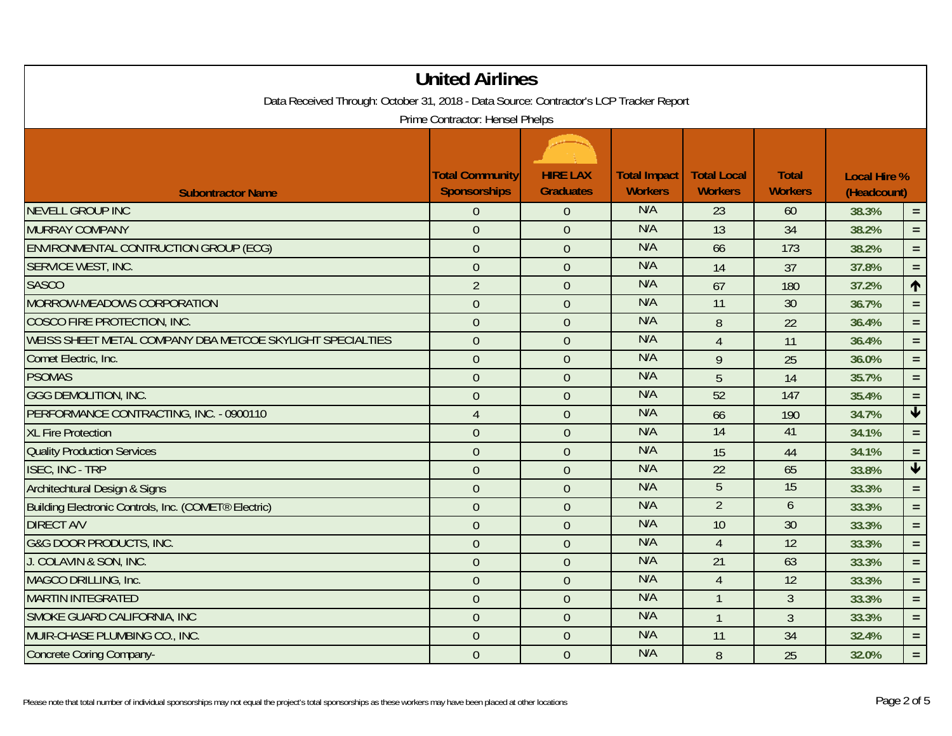| <b>United Airlines</b><br>Data Received Through: October 31, 2018 - Data Source: Contractor's LCP Tracker Report<br>Prime Contractor: Hensel Phelps |                |                |     |                |                 |                   |                 |  |
|-----------------------------------------------------------------------------------------------------------------------------------------------------|----------------|----------------|-----|----------------|-----------------|-------------------|-----------------|--|
|                                                                                                                                                     |                |                |     |                |                 |                   |                 |  |
| <b>NEVELL GROUP INC</b>                                                                                                                             | $\overline{0}$ | $\overline{0}$ | N/A | 23             | 60              | 38.3%<br>$\equiv$ |                 |  |
| <b>MURRAY COMPANY</b>                                                                                                                               | $\mathbf{0}$   | $\overline{0}$ | N/A | 13             | 34              | 38.2%             | $\equiv$        |  |
| ENVIRONMENTAL CONTRUCTION GROUP (ECG)                                                                                                               | $\overline{0}$ | $\overline{0}$ | N/A | 66             | 173             | 38.2%             | $=$             |  |
| SERVICE WEST, INC.                                                                                                                                  | $\overline{0}$ | $\overline{0}$ | N/A | 14             | 37              | 37.8%             | $\equiv$        |  |
| <b>SASCO</b>                                                                                                                                        | $\overline{2}$ | $\overline{0}$ | N/A | 67             | 180             | 37.2%             | $\uparrow$      |  |
| MORROW-MEADOWS CORPORATION                                                                                                                          | $\overline{0}$ | $\overline{0}$ | N/A | 11             | 30              | 36.7%             | $\equiv$        |  |
| COSCO FIRE PROTECTION, INC.                                                                                                                         | $\mathbf{0}$   | $\overline{0}$ | N/A | $8\,$          | 22              | 36.4%             | $\equiv$        |  |
| WEISS SHEET METAL COMPANY DBA METCOE SKYLIGHT SPECIALTIES                                                                                           | $\overline{0}$ | $\overline{0}$ | N/A | $\overline{4}$ | 11              | 36.4%             | $\equiv$        |  |
| Comet Electric, Inc.                                                                                                                                | $\overline{0}$ | $\overline{0}$ | N/A | 9              | 25              | 36.0%             | $\equiv$        |  |
| <b>PSOMAS</b>                                                                                                                                       | $\overline{0}$ | $\overline{0}$ | N/A | $\overline{5}$ | 14              | 35.7%             | $\equiv$        |  |
| <b>GGG DEMOLITION, INC.</b>                                                                                                                         | $\overline{0}$ | $\overline{0}$ | N/A | 52             | 147             | 35.4%             | $\equiv$        |  |
| PERFORMANCE CONTRACTING, INC. - 0900110                                                                                                             | $\overline{4}$ | $\overline{0}$ | N/A | 66             | 190             | 34.7%             | $\blacklozenge$ |  |
| <b>XL Fire Protection</b>                                                                                                                           | $\mathbf{0}$   | $\overline{0}$ | N/A | 14             | 41              | 34.1%             | $\equiv$        |  |
| <b>Quality Production Services</b>                                                                                                                  | $\overline{0}$ | $\overline{0}$ | N/A | 15             | 44              | 34.1%             | $\equiv$        |  |
| <b>ISEC, INC - TRP</b>                                                                                                                              | $\overline{0}$ | $\overline{0}$ | N/A | 22             | 65              | 33.8%             | $\blacklozenge$ |  |
| Architechtural Design & Signs                                                                                                                       | $\overline{0}$ | $\overline{0}$ | N/A | 5              | 15              | 33.3%             | $\equiv$        |  |
| Building Electronic Controls, Inc. (COMET® Electric)                                                                                                | $\theta$       | $\overline{0}$ | N/A | $\overline{2}$ | 6               | 33.3%             | $\equiv$        |  |
| <b>DIRECT A/V</b>                                                                                                                                   | $\overline{0}$ | $\overline{0}$ | N/A | 10             | 30              | 33.3%             | $\equiv$        |  |
| <b>G&amp;G DOOR PRODUCTS, INC.</b>                                                                                                                  | $\mathbf{0}$   | $\overline{0}$ | N/A | $\overline{4}$ | 12              | 33.3%             | $=$ $\,$        |  |
| J. COLAVIN & SON, INC.                                                                                                                              | $\overline{0}$ | $\overline{0}$ | N/A | 21             | 63              | 33.3%             | $\equiv$        |  |
| MAGCO DRILLING, Inc.                                                                                                                                | $\overline{0}$ | $\overline{0}$ | N/A | $\overline{4}$ | 12              | 33.3%             | $=$ .           |  |
| <b>MARTIN INTEGRATED</b>                                                                                                                            | $\overline{0}$ | $\overline{0}$ | N/A | $\overline{1}$ | $\overline{3}$  | 33.3%             | $\equiv$        |  |
| SMOKE GUARD CALIFORNIA, INC                                                                                                                         | $\overline{0}$ | $\overline{0}$ | N/A | $\mathbf{1}$   | 3               | 33.3%             | $\equiv$        |  |
| MUIR-CHASE PLUMBING CO., INC.                                                                                                                       | $\overline{0}$ | $\overline{0}$ | N/A | 11             | $\overline{34}$ | 32.4%             | $=$ $\,$        |  |
| <b>Concrete Coring Company-</b>                                                                                                                     | $\mathbf{0}$   | $\overline{0}$ | N/A | 8              | 25              | 32.0%             | $\equiv$        |  |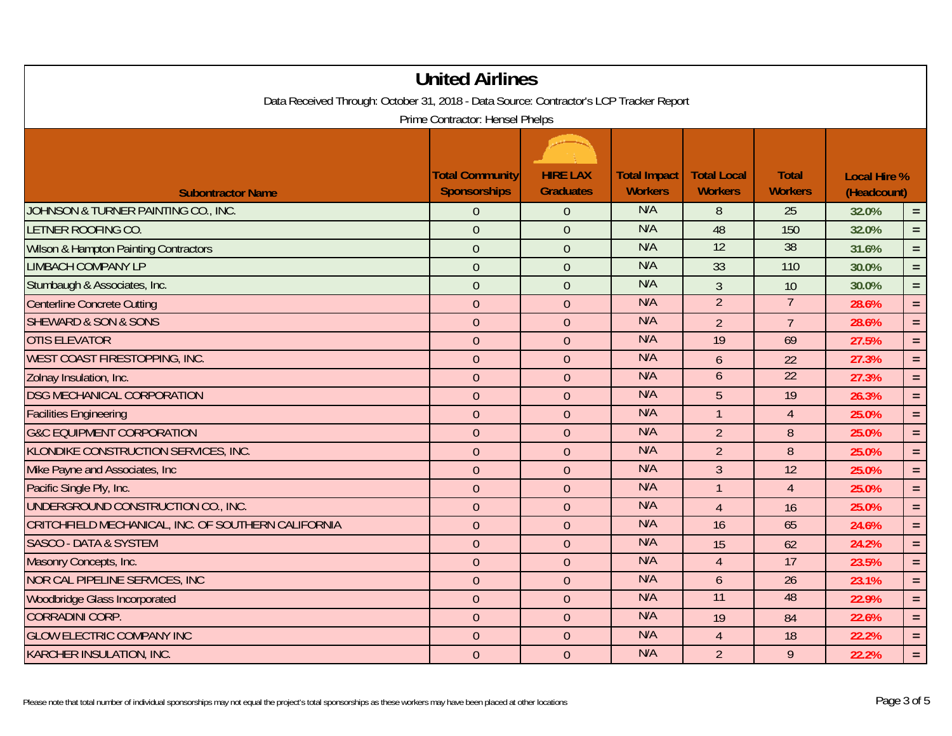| <b>United Airlines</b>                                                                 |                                               |                  |                                       |                                      |                                |                                    |          |  |
|----------------------------------------------------------------------------------------|-----------------------------------------------|------------------|---------------------------------------|--------------------------------------|--------------------------------|------------------------------------|----------|--|
| Data Received Through: October 31, 2018 - Data Source: Contractor's LCP Tracker Report |                                               |                  |                                       |                                      |                                |                                    |          |  |
| Prime Contractor: Hensel Phelps                                                        |                                               |                  |                                       |                                      |                                |                                    |          |  |
|                                                                                        |                                               |                  |                                       |                                      |                                |                                    |          |  |
|                                                                                        |                                               | <b>HIRE LAX</b>  |                                       |                                      |                                |                                    |          |  |
| <b>Subontractor Name</b>                                                               | <b>Total Community</b><br><b>Sponsorships</b> | <b>Graduates</b> | <b>Total Impact</b><br><b>Workers</b> | <b>Total Local</b><br><b>Workers</b> | <b>Total</b><br><b>Workers</b> | <b>Local Hire %</b><br>(Headcount) |          |  |
| JOHNSON & TURNER PAINTING CO., INC.                                                    | $\overline{0}$                                | $\overline{0}$   | N/A                                   | 8                                    | 25                             | 32.0%<br>$\equiv$                  |          |  |
| LETNER ROOFING CO.                                                                     | $\overline{0}$                                | $\overline{0}$   | N/A                                   | 48                                   | 150                            | 32.0%                              | $\equiv$ |  |
| <b>Wilson &amp; Hampton Painting Contractors</b>                                       | $\overline{0}$                                | $\overline{0}$   | N/A                                   | 12                                   | 38                             | 31.6%                              | $\equiv$ |  |
| <b>LIMBACH COMPANY LP</b>                                                              | $\overline{0}$                                | $\overline{0}$   | N/A                                   | 33                                   | 110                            | 30.0%                              | $\equiv$ |  |
| Stumbaugh & Associates, Inc.                                                           | $\overline{0}$                                | $\overline{0}$   | N/A                                   | $\overline{3}$                       | 10                             | 30.0%                              | $\equiv$ |  |
| <b>Centerline Concrete Cutting</b>                                                     | $\overline{0}$                                | $\theta$         | N/A                                   | $\overline{2}$                       | $\overline{7}$                 | 28.6%                              | $\equiv$ |  |
| <b>SHEWARD &amp; SON &amp; SONS</b>                                                    | $\overline{0}$                                | $\overline{0}$   | N/A                                   | $\overline{2}$                       | $\overline{7}$                 | 28.6%                              | $\equiv$ |  |
| <b>OTIS ELEVATOR</b>                                                                   | $\overline{0}$                                | $\overline{0}$   | N/A                                   | 19                                   | 69                             | 27.5%                              | $\equiv$ |  |
| WEST COAST FIRESTOPPING, INC.                                                          | $\overline{0}$                                | $\overline{0}$   | N/A                                   | $\mathfrak b$                        | 22                             | 27.3%                              | $\equiv$ |  |
| Zolnay Insulation, Inc.                                                                | $\overline{0}$                                | $\overline{0}$   | N/A                                   | $\overline{6}$                       | $\overline{22}$                | 27.3%                              | $\equiv$ |  |
| <b>DSG MECHANICAL CORPORATION</b>                                                      | $\overline{0}$                                | $\overline{0}$   | N/A                                   | 5                                    | 19                             | 26.3%                              | $\equiv$ |  |
| <b>Facilities Engineering</b>                                                          | $\overline{0}$                                | $\overline{0}$   | N/A                                   | $\mathbf{1}$                         | $\overline{4}$                 | 25.0%                              | $\equiv$ |  |
| <b>G&amp;C EQUIPMENT CORPORATION</b>                                                   | $\overline{0}$                                | $\overline{0}$   | N/A                                   | $\overline{2}$                       | $\boldsymbol{8}$               | 25.0%                              | $\equiv$ |  |
| KLONDIKE CONSTRUCTION SERVICES, INC.                                                   | $\overline{0}$                                | $\overline{0}$   | N/A                                   | $\overline{2}$                       | 8                              | 25.0%                              | $\equiv$ |  |
| Mike Payne and Associates, Inc.                                                        | $\overline{0}$                                | $\overline{0}$   | N/A                                   | $\overline{3}$                       | 12                             | 25.0%                              | $\equiv$ |  |
| Pacific Single Ply, Inc.                                                               | $\overline{0}$                                | $\overline{0}$   | N/A                                   | $\overline{1}$                       | $\overline{4}$                 | 25.0%                              | $\equiv$ |  |
| UNDERGROUND CONSTRUCTION CO., INC.                                                     | $\overline{0}$                                | $\overline{0}$   | N/A                                   | $\overline{4}$                       | 16                             | 25.0%                              | $\equiv$ |  |
| CRITCHFIELD MECHANICAL, INC. OF SOUTHERN CALIFORNIA                                    | $\overline{0}$                                | $\overline{0}$   | N/A                                   | 16                                   | 65                             | 24.6%                              | $\equiv$ |  |
| <b>SASCO - DATA &amp; SYSTEM</b>                                                       | $\overline{0}$                                | $\overline{0}$   | N/A                                   | 15                                   | 62                             | 24.2%                              | $\equiv$ |  |
| Masonry Concepts, Inc.                                                                 | $\overline{0}$                                | $\overline{0}$   | N/A                                   | $\overline{4}$                       | 17                             | 23.5%                              | $\equiv$ |  |
| <b>NOR CAL PIPELINE SERVICES, INC</b>                                                  | $\overline{0}$                                | $\overline{0}$   | N/A                                   | $\mathfrak b$                        | $\overline{26}$                | 23.1%                              | $\equiv$ |  |
| <b>Woodbridge Glass Incorporated</b>                                                   | $\overline{0}$                                | $\overline{0}$   | N/A                                   | $\overline{11}$                      | 48                             | 22.9%                              | $\equiv$ |  |
| <b>CORRADINI CORP.</b>                                                                 | $\overline{0}$                                | $\overline{0}$   | N/A                                   | 19                                   | 84                             | 22.6%                              | $\equiv$ |  |
| <b>GLOW ELECTRIC COMPANY INC</b>                                                       | $\overline{0}$                                | $\overline{0}$   | N/A                                   | $\overline{4}$                       | 18                             | 22.2%                              | $\equiv$ |  |
| KARCHER INSULATION, INC.                                                               | $\overline{0}$                                | $\overline{0}$   | N/A                                   | $\overline{2}$                       | 9                              | 22.2%                              | $\equiv$ |  |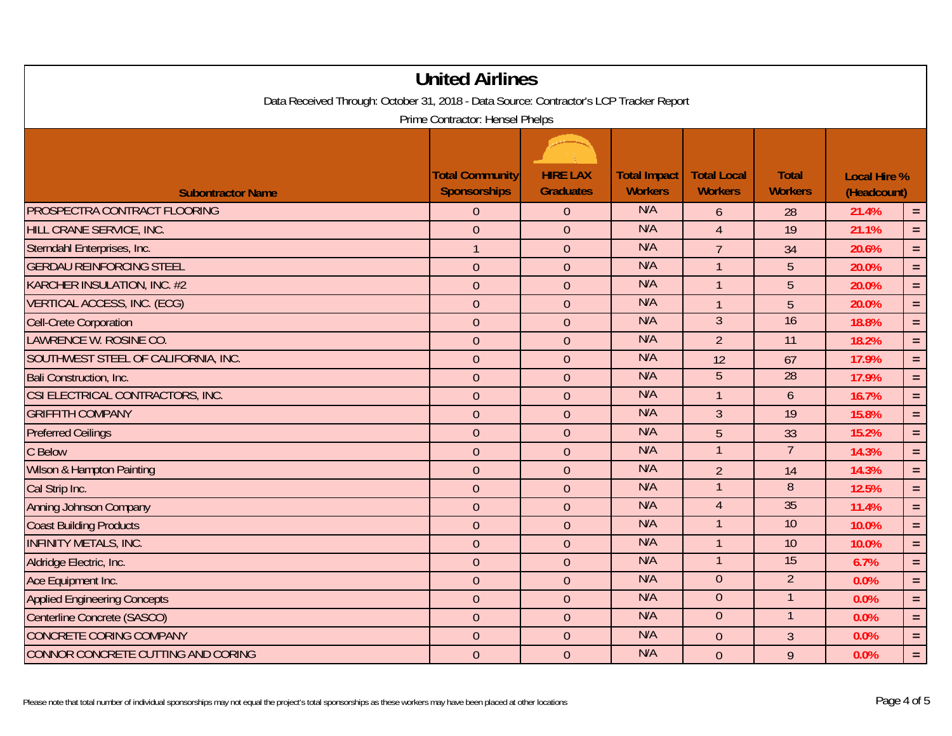| <b>United Airlines</b>                                                                 |                                 |                  |                     |                    |                 |                                    |          |  |
|----------------------------------------------------------------------------------------|---------------------------------|------------------|---------------------|--------------------|-----------------|------------------------------------|----------|--|
| Data Received Through: October 31, 2018 - Data Source: Contractor's LCP Tracker Report |                                 |                  |                     |                    |                 |                                    |          |  |
|                                                                                        | Prime Contractor: Hensel Phelps |                  |                     |                    |                 |                                    |          |  |
|                                                                                        |                                 |                  |                     |                    |                 |                                    |          |  |
|                                                                                        | <b>Total Community</b>          | <b>HIRE LAX</b>  | <b>Total Impact</b> | <b>Total Local</b> | <b>Total</b>    |                                    |          |  |
| <b>Subontractor Name</b>                                                               | <b>Sponsorships</b>             | <b>Graduates</b> | <b>Workers</b>      | <b>Workers</b>     | <b>Workers</b>  | <b>Local Hire %</b><br>(Headcount) |          |  |
| PROSPECTRA CONTRACT FLOORING                                                           | $\overline{0}$                  | $\overline{0}$   | N/A                 | 6                  | 28              | 21.4%<br>$\equiv$                  |          |  |
| HILL CRANE SERVICE, INC.                                                               | $\overline{0}$                  | $\overline{0}$   | N/A                 | $\overline{4}$     | $\overline{19}$ | 21.1%                              | $\equiv$ |  |
| Sterndahl Enterprises, Inc.                                                            | $\mathbf{1}$                    | $\overline{0}$   | N/A                 | $\overline{7}$     | 34              | 20.6%                              | $\equiv$ |  |
| <b>GERDAU REINFORCING STEEL</b>                                                        | $\theta$                        | $\overline{0}$   | N/A                 | $\mathbf{1}$       | 5               | 20.0%                              | $\equiv$ |  |
| <b>KARCHER INSULATION, INC. #2</b>                                                     | $\overline{0}$                  | $\overline{0}$   | N/A                 | $\mathbf{1}$       | 5               | 20.0%                              | $\equiv$ |  |
| <b>VERTICAL ACCESS, INC. (ECG)</b>                                                     | $\mathbf 0$                     | $\boldsymbol{0}$ | N/A                 | $\mathbf{1}$       | 5               | 20.0%                              | $\equiv$ |  |
| <b>Cell-Crete Corporation</b>                                                          | $\boldsymbol{0}$                | $\mathbf{0}$     | N/A                 | $\overline{3}$     | 16              | 18.8%                              | $\equiv$ |  |
| <b>LAWRENCE W. ROSINE CO.</b>                                                          | $\overline{0}$                  | $\overline{0}$   | N/A                 | $\overline{2}$     | 11              | 18.2%                              | $\equiv$ |  |
| SOUTHWEST STEEL OF CALIFORNIA, INC.                                                    | $\overline{0}$                  | $\overline{0}$   | N/A                 | 12                 | 67              | 17.9%                              | $\equiv$ |  |
| Bali Construction, Inc.                                                                | $\overline{0}$                  | $\overline{0}$   | N/A                 | $\overline{5}$     | 28              | 17.9%                              | $\equiv$ |  |
| CSI ELECTRICAL CONTRACTORS, INC.                                                       | $\overline{0}$                  | $\overline{0}$   | N/A                 | $\mathbf{1}$       | $\mathfrak b$   | 16.7%                              | $\equiv$ |  |
| <b>GRIFFITH COMPANY</b>                                                                | $\overline{0}$                  | $\overline{0}$   | N/A                 | $\overline{3}$     | 19              | 15.8%                              | $\equiv$ |  |
| <b>Preferred Ceilings</b>                                                              | $\overline{0}$                  | $\theta$         | N/A                 | $\overline{5}$     | 33              | 15.2%                              | $\equiv$ |  |
| C Below                                                                                | $\mathbf 0$                     | $\overline{0}$   | N/A                 | $\mathbf{1}$       | $\overline{7}$  | 14.3%                              | $\equiv$ |  |
| Wilson & Hampton Painting                                                              | $\overline{0}$                  | $\overline{0}$   | N/A                 | $\overline{2}$     | 14              | 14.3%                              | $\equiv$ |  |
| Cal Strip Inc.                                                                         | $\overline{0}$                  | $\overline{0}$   | N/A                 | $\mathbf{1}$       | 8               | 12.5%                              | $\equiv$ |  |
| Anning Johnson Company                                                                 | $\overline{0}$                  | $\overline{0}$   | N/A                 | $\overline{4}$     | 35              | 11.4%                              | $\equiv$ |  |
| <b>Coast Building Products</b>                                                         | $\overline{0}$                  | $\overline{0}$   | N/A                 | $\mathbf{1}$       | 10              | 10.0%                              | $=$      |  |
| <b>INFINITY METALS, INC.</b>                                                           | $\overline{0}$                  | $\overline{0}$   | N/A                 | $\overline{1}$     | 10              | 10.0%                              | $\equiv$ |  |
| Aldridge Electric, Inc.                                                                | $\overline{0}$                  | $\overline{0}$   | N/A                 | $\overline{1}$     | 15              | 6.7%                               | $\equiv$ |  |
| Ace Equipment Inc.                                                                     | $\overline{0}$                  | $\overline{0}$   | N/A                 | $\theta$           | $\overline{2}$  | 0.0%                               | $\equiv$ |  |
| <b>Applied Engineering Concepts</b>                                                    | $\overline{0}$                  | $\overline{0}$   | N/A                 | $\theta$           | $\mathbf{1}$    | 0.0%                               | $\equiv$ |  |
| Centerline Concrete (SASCO)                                                            | $\overline{0}$                  | $\overline{0}$   | N/A                 | $\overline{0}$     | $\overline{1}$  | 0.0%                               | $\equiv$ |  |
| <b>CONCRETE CORING COMPANY</b>                                                         | $\overline{0}$                  | $\overline{0}$   | N/A                 | $\theta$           | $\mathfrak{Z}$  | 0.0%                               | $\equiv$ |  |
| CONNOR CONCRETE CUTTING AND CORING                                                     | $\overline{0}$                  | $\overline{0}$   | N/A                 | $\overline{0}$     | 9               | 0.0%                               | $\equiv$ |  |